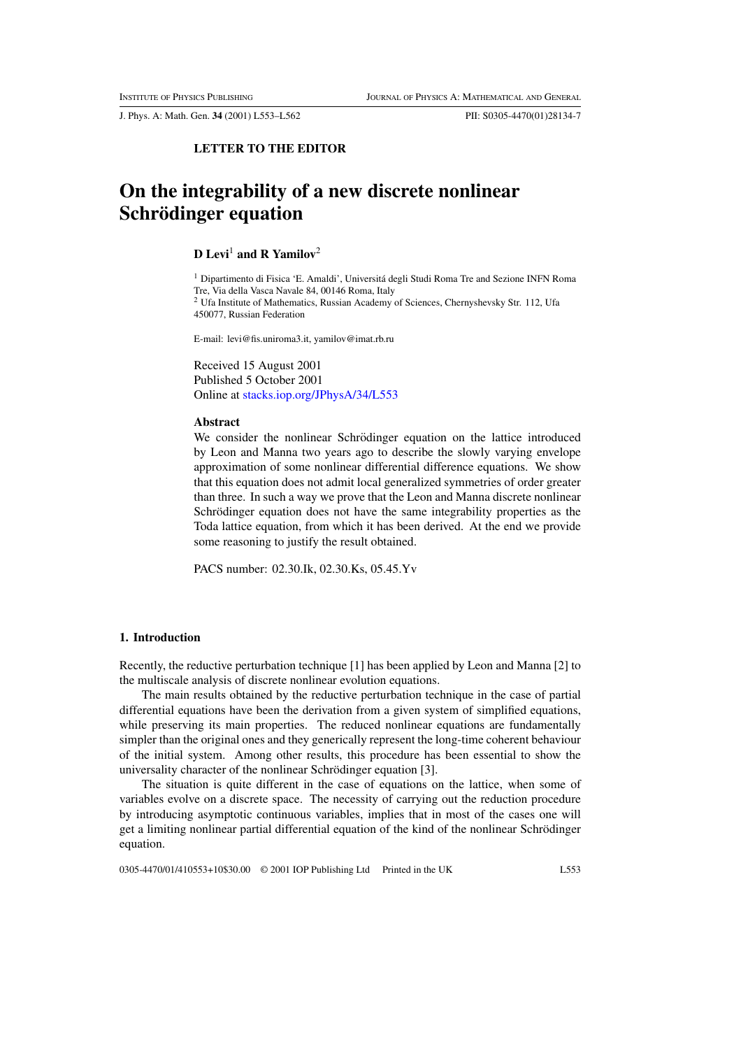J. Phys. A: Math. Gen. 34 (2001) L553–L562 PII: S0305-4470(01)28134-7

## LETTER TO THE EDITOR

# On the integrability of a new discrete nonlinear Schrödinger equation

# **D** Levi<sup>1</sup> and **R** Yamilov<sup>2</sup>

<sup>1</sup> Dipartimento di Fisica 'E. Amaldi', Universitá degli Studi Roma Tre and Sezione INFN Roma Tre, Via della Vasca Navale 84, 00146 Roma, Italy <sup>2</sup> Ufa Institute of Mathematics, Russian Academy of Sciences, Chernyshevsky Str. 112, Ufa 450077, Russian Federation

E-mail: levi@fis.uniroma3.it, yamilov@imat.rb.ru

Received 15 August 2001 Published 5 October 2001 Online at stacks.iop.org/JPhysA/34/L553

#### Abstract

We consider the nonlinear Schrödinger equation on the lattice introduced by Leon and Manna two years ago to describe the slowly varying envelope approximation of some nonlinear differential difference equations. We show that this equation does not admit local generalized symmetries of order greater than three. In such a way we prove that the Leon and Manna discrete nonlinear Schrödinger equation does not have the same integrability properties as the Toda lattice equation, from which it has been derived. At the end we provide some reasoning to justify the result obtained.

PACS number: 02.30.Ik, 02.30.Ks, 05.45.Yv

## 1. Introduction

Recently, the reductive perturbation technique [1] has been applied by Leon and Manna [2] to the multiscale analysis of discrete nonlinear evolution equations.

The main results obtained by the reductive perturbation technique in the case of partial differential equations have been the derivation from a given system of simplified equations, while preserving its main properties. The reduced nonlinear equations are fundamentally simpler than the original ones and they generically represent the long-time coherent behaviour of the initial system. Among other results, this procedure has been essential to show the universality character of the nonlinear Schrödinger equation [3].

The situation is quite different in the case of equations on the lattice, when some of variables evolve on a discrete space. The necessity of carrying out the reduction procedure by introducing asymptotic continuous variables, implies that in most of the cases one will get a limiting nonlinear partial differential equation of the kind of the nonlinear Schrödinger equation.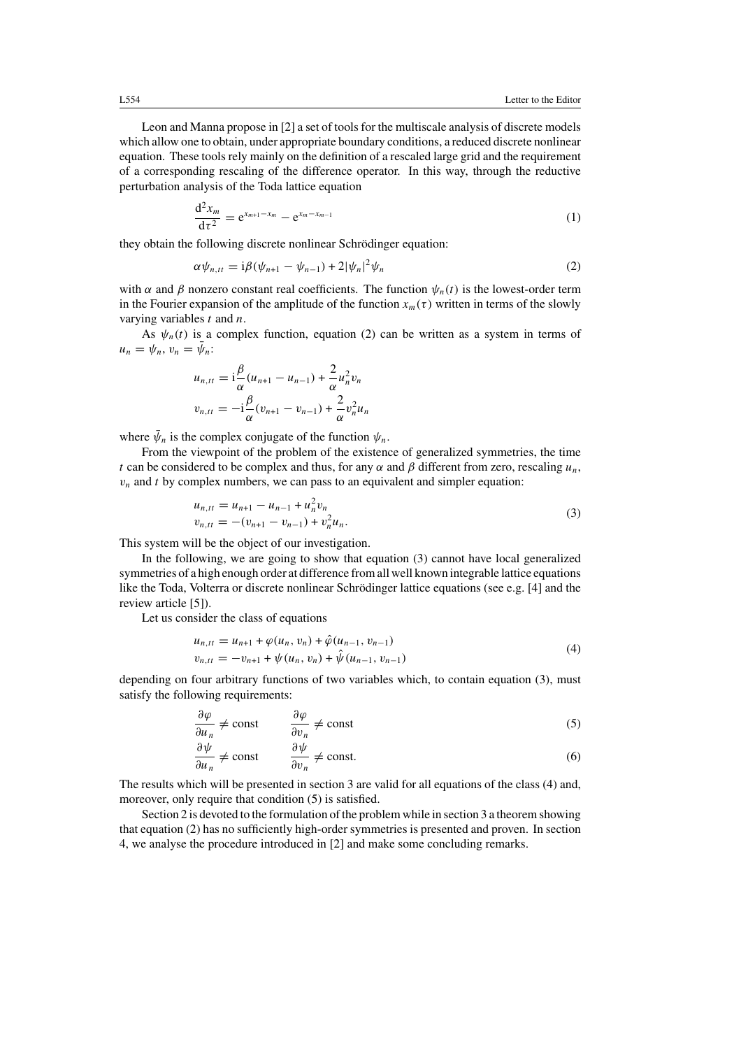Leon and Manna propose in [2] a set of tools for the multiscale analysis of discrete models which allow one to obtain, under appropriate boundary conditions, a reduced discrete nonlinear equation. These tools rely mainly on the definition of a rescaled large grid and the requirement of a corresponding rescaling of the difference operator. In this way, through the reductive perturbation analysis of the Toda lattice equation

$$
\frac{d^2 x_m}{dt^2} = e^{x_{m+1} - x_m} - e^{x_m - x_{m-1}}
$$
 (1)

they obtain the following discrete nonlinear Schrödinger equation:

$$
\alpha \psi_{n,tt} = i\beta(\psi_{n+1} - \psi_{n-1}) + 2|\psi_n|^2 \psi_n
$$
 (2)

with  $\alpha$  and  $\beta$  nonzero constant real coefficients. The function  $\psi_n(t)$  is the lowest-order term in the Fourier expansion of the amplitude of the function  $x_m(\tau)$  written in terms of the slowly varying variables  $t$  and  $n$ .

As  $\psi_n(t)$  is a complex function, equation (2) can be written as a system in terms of  $u_n = \psi_n, v_n = \bar{\psi}_n$ :

$$
u_{n,tt} = i\frac{\beta}{\alpha}(u_{n+1} - u_{n-1}) + \frac{2}{\alpha}u_n^2v_n
$$
  

$$
v_{n,tt} = -i\frac{\beta}{\alpha}(v_{n+1} - v_{n-1}) + \frac{2}{\alpha}v_n^2u_n
$$

where  $\bar{\psi}_n$  is the complex conjugate of the function  $\psi_n$ .

From the viewpoint of the problem of the existence of generalized symmetries, the time t can be considered to be complex and thus, for any  $\alpha$  and  $\beta$  different from zero, rescaling  $u_n$ ,  $v_n$  and t by complex numbers, we can pass to an equivalent and simpler equation:

$$
u_{n,tt} = u_{n+1} - u_{n-1} + u_n^2 v_n
$$
  
\n
$$
v_{n,tt} = -(v_{n+1} - v_{n-1}) + v_n^2 u_n.
$$
\n(3)

This system will be the object of our investigation.

In the following, we are going to show that equation (3) cannot have local generalized symmetries of a high enough order at difference fromall well known integrable lattice equations like the Toda, Volterra or discrete nonlinear Schrödinger lattice equations (see e.g.  $[4]$  and the review article [5]).

Let us consider the class of equations

$$
u_{n,tt} = u_{n+1} + \varphi(u_n, v_n) + \hat{\varphi}(u_{n-1}, v_{n-1})
$$
  
\n
$$
v_{n,tt} = -v_{n+1} + \psi(u_n, v_n) + \hat{\psi}(u_{n-1}, v_{n-1})
$$
\n(4)

depending on four arbitrary functions of two variables which, to contain equation (3), must satisfy the following requirements:

$$
\frac{\partial \varphi}{\partial u_n} \neq \text{const} \qquad \frac{\partial \varphi}{\partial v_n} \neq \text{const}
$$
 (5)

$$
\frac{\partial \psi}{\partial u_n} \neq \text{const} \qquad \frac{\partial \psi}{\partial v_n} \neq \text{const.} \tag{6}
$$

The results which will be presented in section 3 are valid for all equations of the class (4) and, moreover, only require that condition  $(5)$  is satisfied.

Section 2 is devoted to the formulation of the problem while in section 3 a theorem showing that equation (2) has no sufficiently high-order symmetries is presented and proven. In section 4, we analyse the procedure introduced in [2] and make some concluding remarks.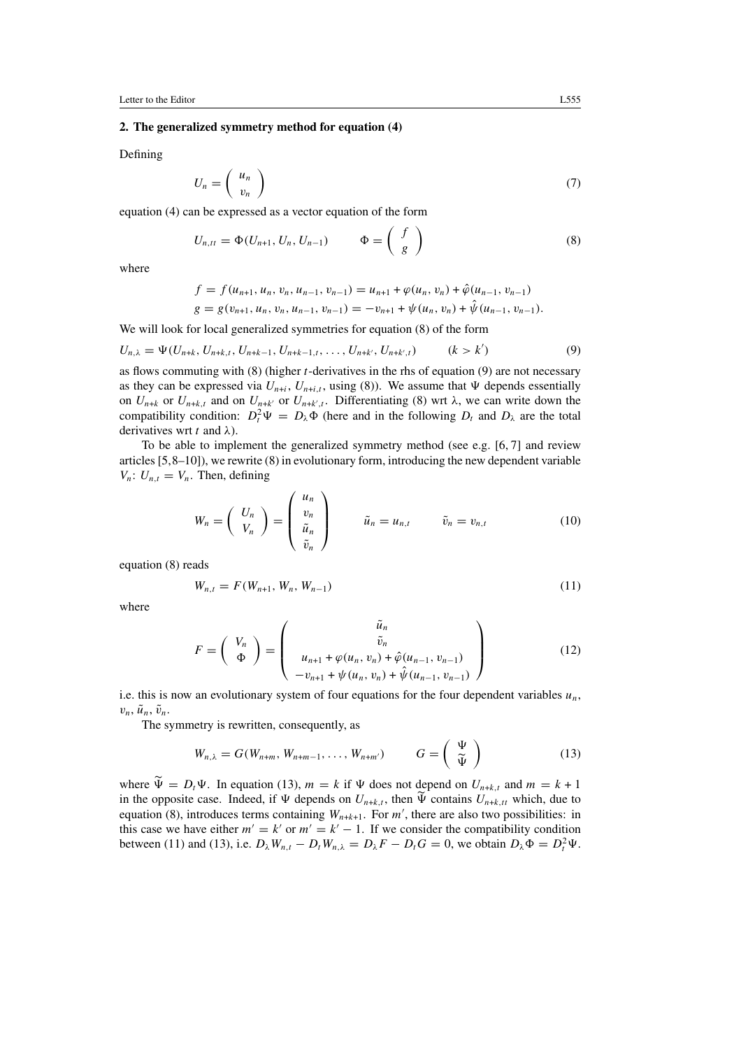## 2. The generalized symmetry method for equation (4)

Defining

$$
U_n = \left(\begin{array}{c} u_n \\ v_n \end{array}\right) \tag{7}
$$

equation (4) can be expressed as a vector equation of the form

$$
U_{n,tt} = \Phi(U_{n+1}, U_n, U_{n-1}) \qquad \Phi = \begin{pmatrix} f \\ g \end{pmatrix}
$$
 (8)

where

$$
f = f(u_{n+1}, u_n, v_n, u_{n-1}, v_{n-1}) = u_{n+1} + \varphi(u_n, v_n) + \hat{\varphi}(u_{n-1}, v_{n-1})
$$
  

$$
g = g(v_{n+1}, u_n, v_n, u_{n-1}, v_{n-1}) = -v_{n+1} + \psi(u_n, v_n) + \hat{\psi}(u_{n-1}, v_{n-1}).
$$

We will look for local generalized symmetries for equation (8) of the form

$$
U_{n,\lambda} = \Psi(U_{n+k}, U_{n+k,t}, U_{n+k-1}, U_{n+k-1,t}, \dots, U_{n+k'}, U_{n+k',t}) \qquad (k > k')
$$
\n(9)

as flows commuting with  $(8)$  (higher *t*-derivatives in the rhs of equation  $(9)$  are not necessary as they can be expressed via  $U_{n+i}$ ,  $U_{n+i,t}$ , using (8)). We assume that  $\Psi$  depends essentially on  $U_{n+k}$  or  $U_{n+k,t}$  and on  $U_{n+k'}$  or  $U_{n+k',t}$ . Differentiating (8) wrt  $\lambda$ , we can write down the compatibility condition:  $D_t^2 \Psi = D_\lambda \Phi$  (here and in the following  $D_t$  and  $D_\lambda$  are the total derivatives wrt t and  $\lambda$ ).

To be able to implement the generalized symmetry method (see e.g. [6, 7] and review articles  $[5,8-10]$ ), we rewrite  $(8)$  in evolutionary form, introducing the new dependent variable  $V_n: U_{n,t} = V_n$ . Then, defining

$$
W_n = \left(\begin{array}{c} U_n \\ V_n \end{array}\right) = \left(\begin{array}{c} u_n \\ v_n \\ \tilde{u}_n \end{array}\right) \qquad \tilde{u}_n = u_{n,t} \qquad \tilde{v}_n = v_{n,t} \qquad (10)
$$

equation (8) reads

$$
W_{n,t} = F(W_{n+1}, W_n, W_{n-1})
$$
\n(11)

where

$$
F = \begin{pmatrix} V_n \\ \Phi \end{pmatrix} = \begin{pmatrix} \tilde{u}_n \\ \tilde{v}_n \\ u_{n+1} + \varphi(u_n, v_n) + \hat{\varphi}(u_{n-1}, v_{n-1}) \\ -v_{n+1} + \psi(u_n, v_n) + \hat{\psi}(u_{n-1}, v_{n-1}) \end{pmatrix}
$$
(12)

i.e. this is now an evolutionary system of four equations for the four dependent variables  $u_n$ ,  $v_n$ ,  $\tilde{u}_n$ ,  $\tilde{v}_n$ .

The symmetry is rewritten, consequently, as

$$
W_{n,\lambda} = G(W_{n+m}, W_{n+m-1}, \dots, W_{n+m'}) \qquad G = \left(\begin{array}{c} \Psi \\ \tilde{\Psi} \end{array}\right)
$$
 (13)

where  $\widetilde{\Psi} = D_t \Psi$ . In equation (13),  $m = k$  if  $\Psi$  does not depend on  $U_{n+k,t}$  and  $m = k + 1$ in the opposite case. Indeed, if  $\Psi$  depends on  $U_{n+k,t}$ , then  $\Psi$  contains  $U_{n+k,t}$  which, due to equation (8), introduces terms containing  $W_{n+k+1}$ . For m', there are also two possibilities: in this case we have either  $m' = k'$  or  $m' = k' - 1$ . If we consider the compatibility condition between (11) and (13), i.e.  $D_{\lambda}W_{n,t} - D_tW_{n,\lambda} = D_{\lambda}F - D_tG = 0$ , we obtain  $D_{\lambda}\Phi = D_t^2\Psi$ .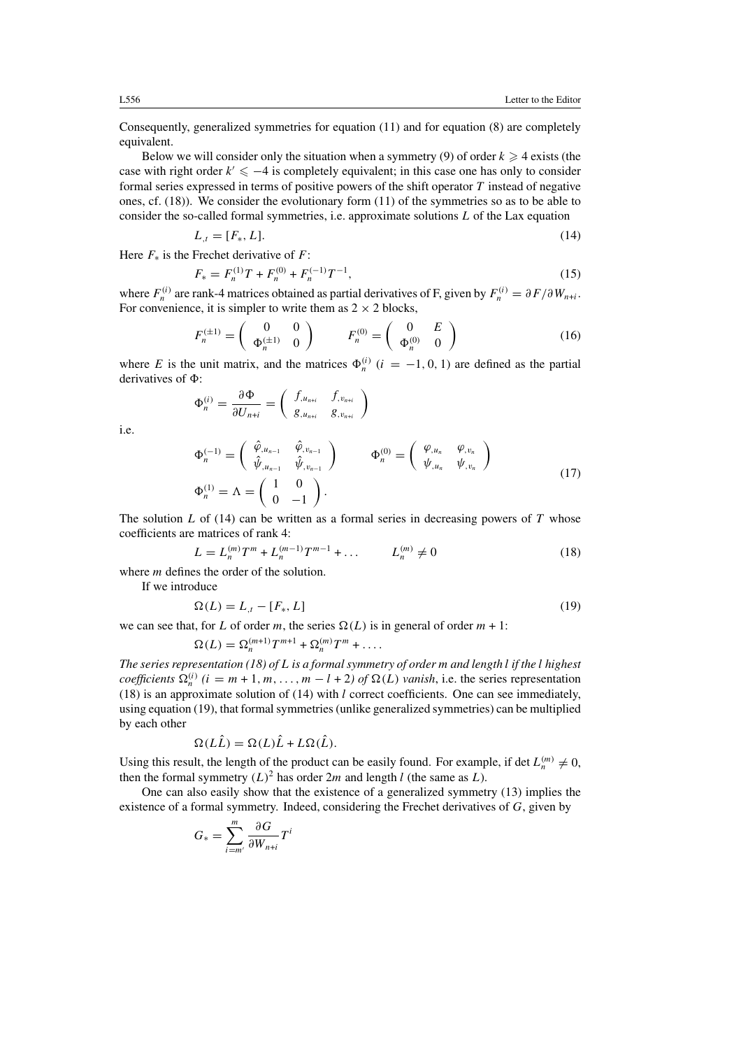Consequently, generalized symmetries for equation (11) and for equation (8) are completely equivalent.

Below we will consider only the situation when a symmetry (9) of order  $k \geq 4$  exists (the case with right order  $k' \leq -4$  is completely equivalent; in this case one has only to consider formal series expressed in terms of positive powers of the shift operator  $T$  instead of negative ones, cf. (18)). We consider the evolutionary form (11) of the symmetries so as to be able to consider the so-called formal symmetries, i.e. approximate solutions L of the Lax equation

$$
L_{,t} = [F_*, L].
$$
\n(14)

Here  $F_*$  is the Frechet derivative of F:

$$
F_* = F_n^{(1)}T + F_n^{(0)} + F_n^{(-1)}T^{-1},\tag{15}
$$

where  $F_n^{(i)}$  are rank-4 matrices obtained as partial derivatives of F, given by  $F_n^{(i)} = \partial F / \partial W_{n+i}$ . For convenience, it is simpler to write them as  $2 \times 2$  blocks,

$$
F_n^{(\pm 1)} = \left(\begin{array}{cc} 0 & 0\\ \Phi_n^{(\pm 1)} & 0 \end{array}\right) \qquad F_n^{(0)} = \left(\begin{array}{cc} 0 & E\\ \Phi_n^{(0)} & 0 \end{array}\right) \tag{16}
$$

where E is the unit matrix, and the matrices  $\Phi_n^{(i)}$  ( $i = -1, 0, 1$ ) are defined as the partial derivatives of  $\Phi$ :

$$
\Phi_n^{(i)} = \frac{\partial \Phi}{\partial U_{n+i}} = \left( \begin{array}{cc} f_{,u_{n+i}} & f_{,v_{n+i}} \\ g_{,u_{n+i}} & g_{,v_{n+i}} \end{array} \right)
$$

i.e.

$$
\Phi_n^{(-1)} = \begin{pmatrix} \hat{\varphi}_{,u_{n-1}} & \hat{\varphi}_{,v_{n-1}} \\ \hat{\psi}_{,u_{n-1}} & \hat{\psi}_{,v_{n-1}} \end{pmatrix} \qquad \Phi_n^{(0)} = \begin{pmatrix} \varphi_{,u_n} & \varphi_{,v_n} \\ \psi_{,u_n} & \psi_{,v_n} \end{pmatrix}
$$
\n
$$
\Phi_n^{(1)} = \Lambda = \begin{pmatrix} 1 & 0 \\ 0 & -1 \end{pmatrix}.
$$
\n(17)

The solution  $L$  of (14) can be written as a formal series in decreasing powers of  $T$  whose coefficients are matrices of rank 4:

$$
L = L_n^{(m)} T^m + L_n^{(m-1)} T^{m-1} + \dots \qquad L_n^{(m)} \neq 0 \tag{18}
$$

where *m* defines the order of the solution.

If we introduce

$$
\Omega(L) = L_{,t} - [F_*, L] \tag{19}
$$

we can see that, for L of order m, the series  $\Omega(L)$  is in general of order  $m + 1$ :

$$
\Omega(L) = \Omega_n^{(m+1)} T^{m+1} + \Omega_n^{(m)} T^m + \dots
$$

The series representation (18) of L is a formal symmetry of order m and length l if the l highest coefficients  $\Omega_n^{(i)}$  ( $i = m + 1, m, ..., m - l + 2$ ) of  $\Omega(L)$  vanish, i.e. the series representation (18) is an approximate solution of (14) with  $l$  correct coefficients. One can see immediately, using equation (19), that formal symmetries (unlike generalized symmetries) can be multiplied by each other

$$
\Omega(L\hat{L}) = \Omega(L)\hat{L} + L\Omega(\hat{L}).
$$

Using this result, the length of the product can be easily found. For example, if det  $L_n^{(m)} \neq 0$ , then the formal symmetry  $(L)^2$  has order  $2m$  and length l (the same as L).

One can also easily show that the existence of a generalized symmetry (13) implies the existence of a formal symmetry. Indeed, considering the Frechet derivatives of  $G$ , given by

$$
G_* = \sum_{i=m'}^{m} \frac{\partial G}{\partial W_{n+i}} T^i
$$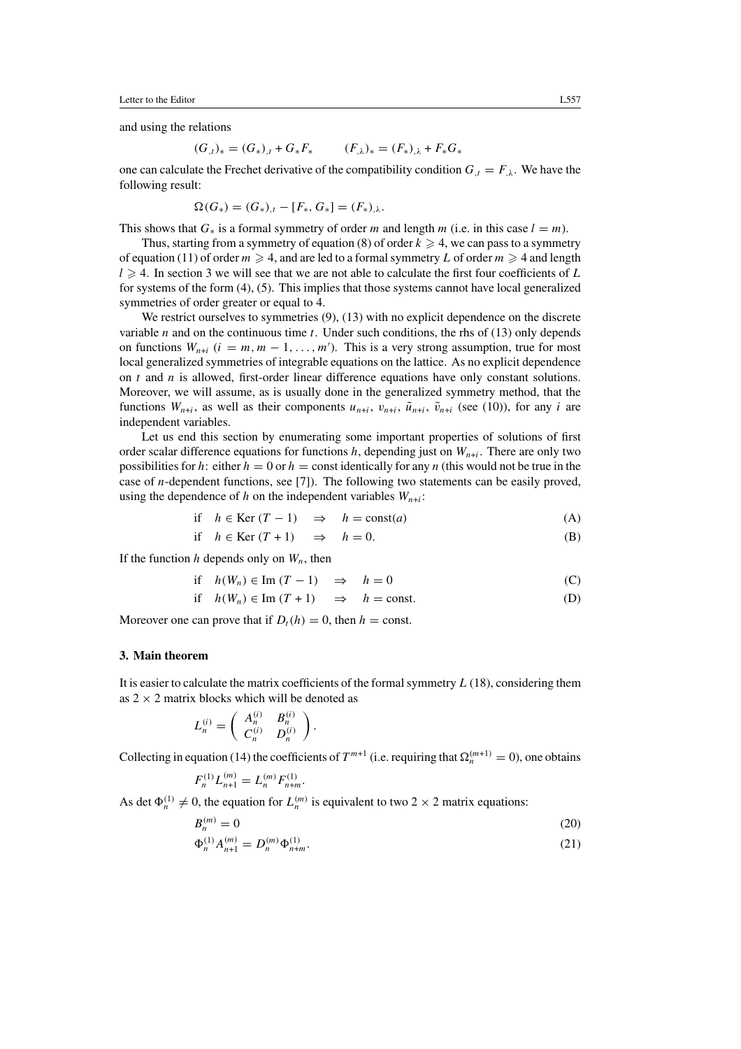Letter to the Editor L557

and using the relations

$$
(G_{,t})_* = (G_*)_{,t} + G_*F_* \qquad (F_{,\lambda})_* = (F_*)_{,\lambda} + F_*G_*
$$

one can calculate the Frechet derivative of the compatibility condition  $G_t = F_{\lambda}$ . We have the following result:

$$
\Omega(G_*) = (G_*)_{,t} - [F_*, G_*] = (F_*)_{,\lambda}.
$$

This shows that  $G_*$  is a formal symmetry of order m and length m (i.e. in this case  $l = m$ ).

Thus, starting from a symmetry of equation (8) of order  $k \ge 4$ , we can pass to a symmetry of equation (11) of order  $m \ge 4$ , and are led to a formal symmetry L of order  $m \ge 4$  and length  $l \geq 4$ . In section 3 we will see that we are not able to calculate the first four coefficients of L for systems of the form (4), (5). This implies that those systems cannot have local generalized symmetries of order greater or equal to 4.

We restrict ourselves to symmetries  $(9)$ ,  $(13)$  with no explicit dependence on the discrete variable  $n$  and on the continuous time  $t$ . Under such conditions, the rhs of (13) only depends on functions  $W_{n+i}$   $(i = m, m - 1, ..., m')$ . This is a very strong assumption, true for most local generalized symmetries of integrable equations on the lattice. As no explicit dependence on  $t$  and  $n$  is allowed, first-order linear difference equations have only constant solutions. Moreover, we will assume, as is usually done in the generalized symmetry method, that the functions  $W_{n+i}$ , as well as their components  $u_{n+i}$ ,  $v_{n+i}$ ,  $\tilde{u}_{n+i}$ ,  $\tilde{v}_{n+i}$  (see (10)), for any *i* are independent variables.

Let us end this section by enumerating some important properties of solutions of first order scalar difference equations for functions  $h$ , depending just on  $W_{n+i}$ . There are only two possibilities for h: either  $h = 0$  or  $h =$  const identically for any n (this would not be true in the case of n-dependent functions, see [7]). The following two statements can be easily proved, using the dependence of h on the independent variables  $W_{n+i}$ :

if 
$$
h \in \text{Ker}(T-1) \Rightarrow h = \text{const}(a)
$$
 (A)

$$
if \quad h \in \text{Ker}(T+1) \quad \Rightarrow \quad h = 0. \tag{B}
$$

If the function h depends only on  $W_n$ , then

$$
\text{if} \quad h(W_n) \in \text{Im}(T - 1) \quad \Rightarrow \quad h = 0 \tag{C}
$$

if  $h(W_n) \in \text{Im}(T+1) \Rightarrow h = \text{const.}$  (D)

Moreover one can prove that if  $D_t(h) = 0$ , then  $h = \text{const.}$ 

#### 3. Main theorem

It is easier to calculate the matrix coefficients of the formal symmetry  $L(18)$ , considering them as  $2 \times 2$  matrix blocks which will be denoted as

$$
L_n^{(i)} = \left(\begin{array}{cc} A_n^{(i)} & B_n^{(i)} \\ C_n^{(i)} & D_n^{(i)} \end{array}\right).
$$

Collecting in equation (14) the coefficients of  $T^{m+1}$  (i.e. requiring that  $\Omega_n^{(m+1)} = 0$ ), one obtains

$$
F_n^{(1)} L_{n+1}^{(m)} = L_n^{(m)} F_{n+m}^{(1)}.
$$

As det  $\Phi_n^{(1)} \neq 0$ , the equation for  $L_n^{(m)}$  is equivalent to two 2  $\times$  2 matrix equations:

$$
B_n^{(m)} = 0\tag{20}
$$

$$
\Phi_n^{(1)} A_{n+1}^{(m)} = D_n^{(m)} \Phi_{n+m}^{(1)}.
$$
\n(21)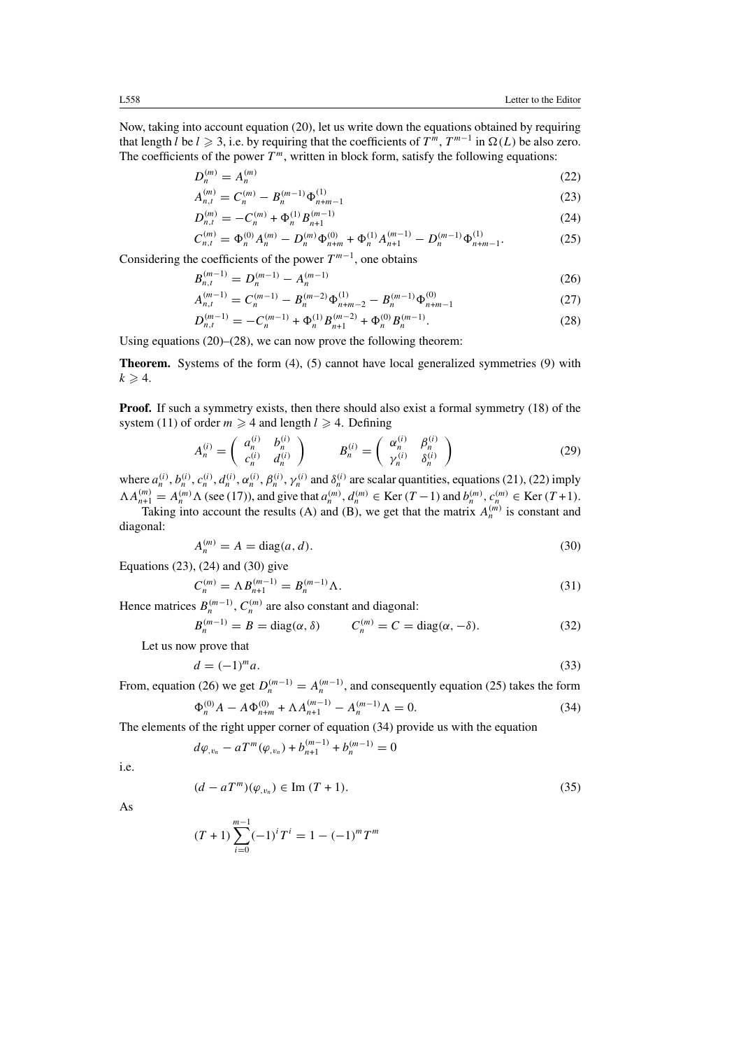(26)

Now, taking into account equation (20), let us write down the equations obtained by requiring that length *l* be  $l \ge 3$ , i.e. by requiring that the coefficients of  $T^m$ ,  $T^{m-1}$  in  $\Omega(L)$  be also zero. The coefficients of the power  $T<sup>m</sup>$ , written in block form, satisfy the following equations:

$$
D_n^{(m)} = A_n^{(m)} \tag{22}
$$

$$
A_{n,t}^{(m)} = C_n^{(m)} - B_n^{(m-1)} \Phi_{n+m-1}^{(1)}
$$
\n(23)

$$
D_{n,t}^{(m)} = -C_n^{(m)} + \Phi_n^{(1)} B_{n+1}^{(m-1)}
$$
\n(24)

$$
C_{n,t}^{(m)} = \Phi_n^{(0)} A_n^{(m)} - D_n^{(m)} \Phi_{n+m}^{(0)} + \Phi_n^{(1)} A_{n+1}^{(m-1)} - D_n^{(m-1)} \Phi_{n+m-1}^{(1)}.
$$
 (25)

Considering the coefficients of the power  $T^{m-1}$ , one obtains

$$
B_{n,t}^{(m-1)} = D_n^{(m-1)} - A_n^{(m-1)}
$$

$$
A_{n,t}^{(m-1)} = C_n^{(m-1)} - B_n^{(m-2)} \Phi_{n+m-2}^{(1)} - B_n^{(m-1)} \Phi_{n+m-1}^{(0)} \tag{27}
$$

$$
D_{n,t}^{(m-1)} = -C_n^{(m-1)} + \Phi_n^{(1)} B_{n+1}^{(m-2)} + \Phi_n^{(0)} B_n^{(m-1)}.
$$
 (28)

Using equations (20)–(28), we can now prove the following theorem:

Theorem. Systems of the form (4), (5) cannot have local generalized symmetries (9) with  $k \geqslant 4$ .

**Proof.** If such a symmetry exists, then there should also exist a formal symmetry (18) of the system (11) of order  $m \ge 4$  and length  $l \ge 4$ . Defining

$$
A_n^{(i)} = \left(\begin{array}{cc} a_n^{(i)} & b_n^{(i)} \\ c_n^{(i)} & d_n^{(i)} \end{array}\right) \qquad B_n^{(i)} = \left(\begin{array}{cc} \alpha_n^{(i)} & \beta_n^{(i)} \\ \gamma_n^{(i)} & \delta_n^{(i)} \end{array}\right) \tag{29}
$$

where  $a_n^{(i)}$ ,  $b_n^{(i)}$ ,  $c_n^{(i)}$ ,  $d_n^{(i)}$ ,  $\alpha_n^{(i)}$ ,  $\beta_n^{(i)}$ ,  $\gamma_n^{(i)}$  and  $\delta_n^{(i)}$  are scalar quantities, equations (21), (22) imply  $\Lambda A_{n+1}^{(m)} = A_n^{(m)} \Lambda$  (see (17)), and give that  $a_n^{(m)}$ ,  $d_n^{(m)} \in \text{Ker}(T-1)$  and  $b_n^{(m)}$ ,  $c_n^{(m)} \in \text{Ker}(T+1)$ .

Taking into account the results (A) and (B), we get that the matrix  $A_n^{(m)}$  is constant and diagonal:

$$
A_n^{(m)} = A = \text{diag}(a, d). \tag{30}
$$

Equations (23), (24) and (30) give

$$
C_n^{(m)} = \Lambda B_{n+1}^{(m-1)} = B_n^{(m-1)} \Lambda.
$$
 (31)

Hence matrices  $B_n^{(m-1)}$ ,  $C_n^{(m)}$  are also constant and diagonal:

$$
B_n^{(m-1)} = B = \text{diag}(\alpha, \delta) \qquad C_n^{(m)} = C = \text{diag}(\alpha, -\delta). \tag{32}
$$

Let us now prove that

$$
d = (-1)^m a. \tag{33}
$$

From, equation (26) we get  $D_n^{(m-1)} = A_n^{(m-1)}$ , and consequently equation (25) takes the form

$$
\Phi_n^{(0)} A - A \Phi_{n+m}^{(0)} + \Lambda A_{n+1}^{(m-1)} - A_n^{(m-1)} \Lambda = 0.
$$
\n(34)

The elements of the right upper corner of equation (34) provide us with the equation

$$
d\varphi_{,v_n} - aT^m(\varphi_{,v_n}) + b_{n+1}^{(m-1)} + b_n^{(m-1)} = 0
$$

i.e.

$$
(d - aTm)(\varphi_{,v_n}) \in \text{Im}(T + 1). \tag{35}
$$

As

$$
(T+1)\sum_{i=0}^{m-1}(-1)^{i}T^{i} = 1 - (-1)^{m}T^{m}
$$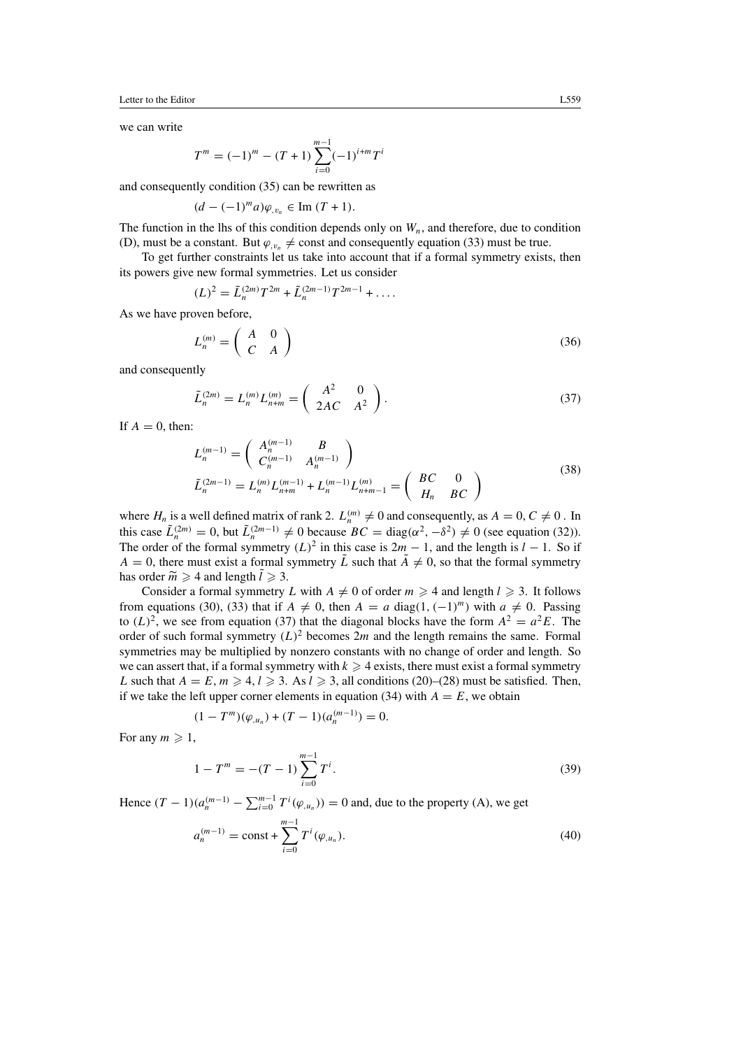Letter to the Editor L559

we can write

$$
T^{m} = (-1)^{m} - (T + 1) \sum_{i=0}^{m-1} (-1)^{i+m} T^{i}
$$

and consequently condition (35) can be rewritten as

$$
(d-(-1)^{m}a)\varphi_{,v_n}\in \text{Im}(T+1).
$$

The function in the lhs of this condition depends only on  $W_n$ , and therefore, due to condition (D), must be a constant. But  $\varphi_{v_n} \neq \text{const}$  and consequently equation (33) must be true.

To get further constraints let us take into account that if a formal symmetry exists, then its powers give new formal symmetries. Let us consider

$$
(L)^2 = \tilde{L}_n^{(2m)} T^{2m} + \tilde{L}_n^{(2m-1)} T^{2m-1} + \dots
$$

As we have proven before,

L

$$
L_n^{(m)} = \left(\begin{array}{cc} A & 0 \\ C & A \end{array}\right) \tag{36}
$$

and consequently

$$
\tilde{L}_n^{(2m)} = L_n^{(m)} L_{n+m}^{(m)} = \begin{pmatrix} A^2 & 0 \\ 2AC & A^2 \end{pmatrix}.
$$
\n(37)

If  $A = 0$ , then:

$$
L_n^{(m-1)} = \begin{pmatrix} A_n^{(m-1)} & B \\ C_n^{(m-1)} & A_n^{(m-1)} \end{pmatrix}
$$
  

$$
\tilde{L}_n^{(2m-1)} = L_n^{(m)} L_{n+m}^{(m-1)} + L_n^{(m-1)} L_{n+m-1}^{(m)} = \begin{pmatrix} BC & 0 \\ H_n & BC \end{pmatrix}
$$
 (38)

where  $H_n$  is a well defined matrix of rank 2.  $L_n^{(m)} \neq 0$  and consequently, as  $A = 0, C \neq 0$ . In this case  $\tilde{L}_n^{(2m)} = 0$ , but  $\tilde{L}_n^{(2m-1)} \neq 0$  because  $BC = \text{diag}(\alpha^2, -\delta^2) \neq 0$  (see equation (32)). The order of the formal symmetry  $(L)^2$  in this case is  $2m - 1$ , and the length is  $l - 1$ . So if  $A = 0$ , there must exist a formal symmetry L such that  $A \neq 0$ , so that the formal symmetry has order  $\widetilde{m} \geqslant 4$  and length  $l \geqslant 3$ .

Consider a formal symmetry L with  $A \neq 0$  of order  $m \geq 4$  and length  $l \geq 3$ . It follows from equations (30), (33) that if  $A \neq 0$ , then  $A = a$  diag(1, (-1)<sup>m</sup>) with  $a \neq 0$ . Passing to  $(L)^2$ , we see from equation (37) that the diagonal blocks have the form  $A^2 = a^2 E$ . The order of such formal symmetry  $(L)^2$  becomes  $2m$  and the length remains the same. Formal symmetries may be multiplied by nonzero constants with no change of order and length. So we can assert that, if a formal symmetry with  $k \geq 4$  exists, there must exist a formal symmetry L such that  $A = E$ ,  $m \ge 4$ ,  $l \ge 3$ . As  $l \ge 3$ , all conditions (20)–(28) must be satisfied. Then, if we take the left upper corner elements in equation (34) with  $A = E$ , we obtain

$$
(1 - Tm)(\varphi_{,u_n}) + (T - 1)(a_n^{(m-1)}) = 0.
$$

For any  $m \geqslant 1$ ,

$$
1 - T^m = -(T - 1) \sum_{i=0}^{m-1} T^i.
$$
 (39)

Hence  $(T - 1)(a_n^{(m-1)} - \sum_{i=0}^{m-1} T^i(\varphi_{,u_n})) = 0$  and, due to the property (A), we get

$$
a_n^{(m-1)} = \text{const} + \sum_{i=0}^{m-1} T^i(\varphi_{,u_n}).
$$
\n(40)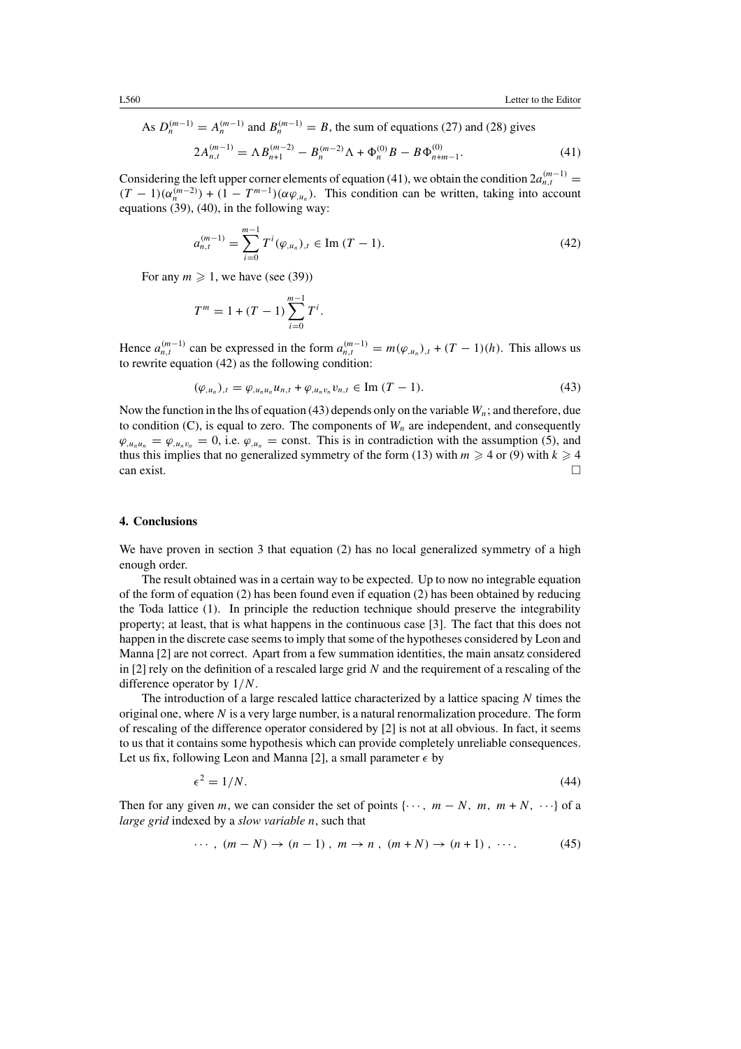As  $D_n^{(m-1)} = A_n^{(m-1)}$  and  $B_n^{(m-1)} = B$ , the sum of equations (27) and (28) gives

$$
2A_{n,t}^{(m-1)} = \Lambda B_{n+1}^{(m-2)} - B_n^{(m-2)}\Lambda + \Phi_n^{(0)}B - B\Phi_{n+m-1}^{(0)}.
$$
 (41)

Considering the left upper corner elements of equation (41), we obtain the condition  $2a_{n,t}^{(m-1)} =$  $(T-1)(\alpha_n^{(m-2)}) + (1 - T^{m-1})(\alpha \varphi_{,u_n})$ . This condition can be written, taking into account equations (39), (40), in the following way:

$$
a_{n,t}^{(m-1)} = \sum_{i=0}^{m-1} T^i (\varphi_{,u_n})_{,t} \in \text{Im}(T-1). \tag{42}
$$

For any  $m \geqslant 1$ , we have (see (39))

$$
T^m = 1 + (T - 1) \sum_{i=0}^{m-1} T^i.
$$

Hence  $a_{n,t}^{(m-1)}$  can be expressed in the form  $a_{n,t}^{(m-1)} = m(\varphi_{u_n})_{,t} + (T-1)(h)$ . This allows us to rewrite equation (42) as the following condition:

$$
(\varphi_{,u_n})_{,t} = \varphi_{,u_nu_n} u_{n,t} + \varphi_{,u_nv_n} v_{n,t} \in \text{Im}(T-1). \tag{43}
$$

Now the function in the lhs of equation (43) depends only on the variable  $W_n$ ; and therefore, due to condition (C), is equal to zero. The components of  $W_n$  are independent, and consequently  $\varphi_{,u_nu_n} = \varphi_{,u_nv_n} = 0$ , i.e.  $\varphi_{,u_n} = \text{const.}$  This is in contradiction with the assumption (5), and thus this implies that no generalized symmetry of the form (13) with  $m \ge 4$  or (9) with  $k \ge 4$ can exist.  $\Box$ 

#### 4. Conclusions

We have proven in section 3 that equation (2) has no local generalized symmetry of a high enough order.

The result obtained was in a certain way to be expected. Up to now no integrable equation of the form of equation (2) has been found even if equation (2) has been obtained by reducing the Toda lattice (1). In principle the reduction technique should preserve the integrability property; at least, that is what happens in the continuous case [3]. The fact that this does not happen in the discrete case seems to imply that some of the hypotheses considered by Leon and Manna [2] are not correct. Apart from a few summation identities, the main ansatz considered in  $[2]$  rely on the definition of a rescaled large grid N and the requirement of a rescaling of the difference operator by 1/N.

The introduction of a large rescaled lattice characterized by a lattice spacing  $N$  times the original one, where  $N$  is a very large number, is a natural renormalization procedure. The form of rescaling of the difference operator considered by [2] is not at all obvious. In fact, it seems to us that it contains some hypothesis which can provide completely unreliable consequences. Let us fix, following Leon and Manna [2], a small parameter  $\epsilon$  by

$$
\epsilon^2 = 1/N. \tag{44}
$$

Then for any given m, we can consider the set of points  $\{\cdots, m - N, m, m + N, \cdots\}$  of a large grid indexed by a slow variable n, such that

$$
\cdots, (m-N) \rightarrow (n-1), m \rightarrow n, (m+N) \rightarrow (n+1), \cdots. \tag{45}
$$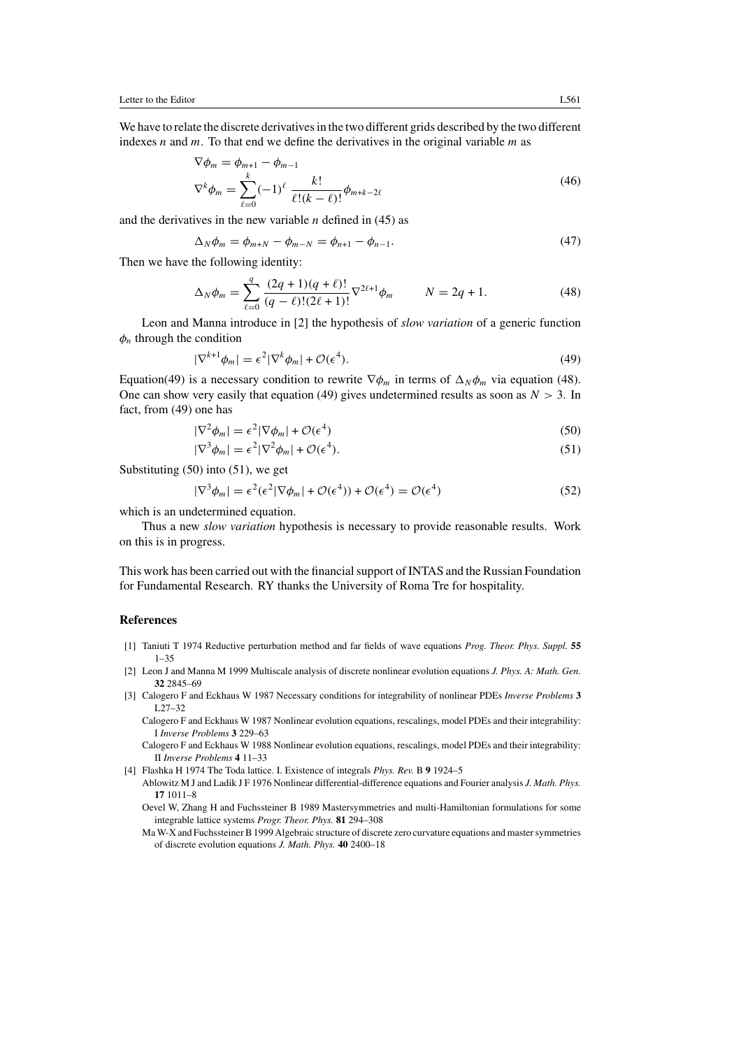We have to relate the discrete derivatives in the two different grids described by the two different indexes  $n$  and  $m$ . To that end we define the derivatives in the original variable  $m$  as

$$
\nabla \phi_m = \phi_{m+1} - \phi_{m-1}
$$
  
\n
$$
\nabla^k \phi_m = \sum_{\ell=0}^k (-1)^{\ell} \frac{k!}{\ell!(k-\ell)!} \phi_{m+k-2\ell}
$$
 (46)

and the derivatives in the new variable  $n$  defined in (45) as

$$
\Delta_N \phi_m = \phi_{m+N} - \phi_{m-N} = \phi_{n+1} - \phi_{n-1}.
$$
\n(47)

Then we have the following identity:

$$
\Delta_N \phi_m = \sum_{\ell=0}^q \frac{(2q+1)(q+\ell)!}{(q-\ell)!(2\ell+1)!} \nabla^{2\ell+1} \phi_m \qquad N = 2q+1. \tag{48}
$$

Leon and Manna introduce in [2] the hypothesis of *slow variation* of a generic function  $\phi_n$  through the condition

$$
|\nabla^{k+1}\phi_m| = \epsilon^2 |\nabla^k \phi_m| + \mathcal{O}(\epsilon^4). \tag{49}
$$

Equation(49) is a necessary condition to rewrite  $\nabla \phi_m$  in terms of  $\Delta_N \phi_m$  via equation (48). One can show very easily that equation (49) gives undetermined results as soon as  $N > 3$ . In fact, from (49) one has

$$
|\nabla^2 \phi_m| = \epsilon^2 |\nabla \phi_m| + \mathcal{O}(\epsilon^4)
$$
\n(50)

$$
|\nabla^3 \phi_m| = \epsilon^2 |\nabla^2 \phi_m| + \mathcal{O}(\epsilon^4). \tag{51}
$$

Substituting (50) into (51), we get

$$
|\nabla^3 \phi_m| = \epsilon^2 (\epsilon^2 |\nabla \phi_m| + \mathcal{O}(\epsilon^4)) + \mathcal{O}(\epsilon^4) = \mathcal{O}(\epsilon^4)
$$
 (52)

which is an undetermined equation.

Thus a new *slow variation* hypothesis is necessary to provide reasonable results. Work on this is in progress.

This work has been carried out with the financialsupport of INTAS and the Russian Foundation for Fundamental Research. RY thanks the University of Roma Tre for hospitality.

## References

- [1] Taniuti T 1974 Reductive perturbation method and far fields of wave equations Prog. Theor. Phys. Suppl. 55 1–35
- [2] Leon J and Manna M 1999 Multiscale analysis of discrete nonlinear evolution equations J. Phys. A: Math. Gen. 32 2845–69
- [3] Calogero F and Eckhaus W 1987 Necessary conditions for integrability of nonlinear PDEs Inverse Problems 3 L27–32

Calogero F and Eckhaus W 1987 Nonlinear evolution equations, rescalings, model PDEs and their integrability: I Inverse Problems 3 229–63

Calogero F and Eckhaus W 1988 Nonlinear evolution equations, rescalings, model PDEs and their integrability: II Inverse Problems 4 11–33

[4] Flashka H 1974 The Toda lattice. I. Existence of integrals Phys. Rev. B 9 1924–5

Ablowitz M J and Ladik J F 1976 Nonlinear differential-difference equations and Fourier analysis J. Math. Phys. 17 1011–8

Oevel W, Zhang H and Fuchssteiner B 1989 Mastersymmetries and multi-Hamiltonian formulations for some integrable lattice systems Progr. Theor. Phys. 81 294–308

Ma W-X and FuchssteinerB1999 Algebraic structure of discrete zero curvature equations and mastersymmetries of discrete evolution equations J. Math. Phys. 40 2400–18